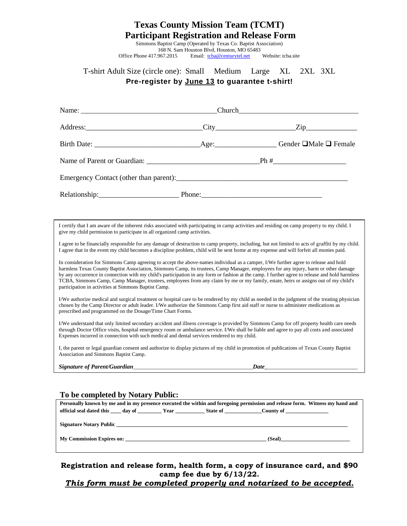#### **Texas County Mission Team (TCMT) Participant Registration and Release Form**

Simmons Baptist Camp (Operated by Texas Co. Baptist Association) 168 N. Sam Houston Blvd, Houston, MO 65483 Office Phone 417.967.2015 Email: [tcba@centurytel.net](mailto:tcba@centurytel.net) Website: tcba.site

## T-shirt Adult Size (circle one): Small Medium Large XL 2XL 3XL **Pre-register by June 13 to guarantee t-shirt!**

I certify that I am aware of the inherent risks associated with participating in camp activities and residing on camp property to my child. I give my child permission to participate in all organized camp activities.

I agree to be financially responsible for any damage of destruction to camp property, including, but not limited to acts of graffiti by my child. I agree that in the event my child becomes a discipline problem, child will be sent home at my expense and will forfeit all monies paid.

In consideration for Simmons Camp agreeing to accept the above-names individual as a camper, I/We further agree to release and hold harmless Texas County Baptist Association, Simmons Camp, its trustees, Camp Manager, employees for any injury, harm or other damage by any occurrence in connection with my child's participation in any form or fashion at the camp. I further agree to release and hold harmless TCBA, Simmons Camp, Camp Manager, trustees, employees from any claim by me or my family, estate, heirs or assigns out of my child's participation in activities at Simmons Baptist Camp.

I/We authorize medical and surgical treatment or hospital care to be rendered by my child as needed in the judgment of the treating physician chosen by the Camp Director or adult leader. I/We authorize the Simmons Camp first aid staff or nurse to administer medications as prescribed and programmed on the Dosage/Time Chart Forms.

I/We understand that only limited secondary accident and illness coverage is provided by Simmons Camp for off property health care needs through Doctor Office visits, hospital emergency room or ambulance service. I/We shall be liable and agree to pay all costs and associated Expenses incurred in connection with such medical and dental services rendered to my child.

I, the parent or legal guardian consent and authorize to display pictures of my child in promotion of publications of Texas County Baptist Association and Simmons Baptist Camp.

*Signature of Parent/Guardian*\_\_\_\_\_\_\_\_\_\_\_\_\_\_\_\_\_\_\_\_\_\_\_\_\_\_\_\_\_\_\_\_\_\_\_\_\_\_\_\_\_\_\_\_\_*Date***\_**\_\_\_\_\_\_\_\_\_\_\_\_\_\_\_\_\_\_\_\_\_\_\_\_\_\_\_\_\_\_\_\_\_\_

#### **To be completed by Notary Public:**

| Personally known by me and in my presence executed the within and foregoing permission and release form. Witness my hand and |  |  |  |        |
|------------------------------------------------------------------------------------------------------------------------------|--|--|--|--------|
|                                                                                                                              |  |  |  |        |
|                                                                                                                              |  |  |  |        |
|                                                                                                                              |  |  |  |        |
|                                                                                                                              |  |  |  |        |
| My Commission Expires on:                                                                                                    |  |  |  | (Seal) |
|                                                                                                                              |  |  |  |        |
|                                                                                                                              |  |  |  |        |

#### **Registration and release form, health form, a copy of insurance card, and \$90 camp fee due by 6/13/22.**

*This form must be completed properly and notarized to be accepted.*